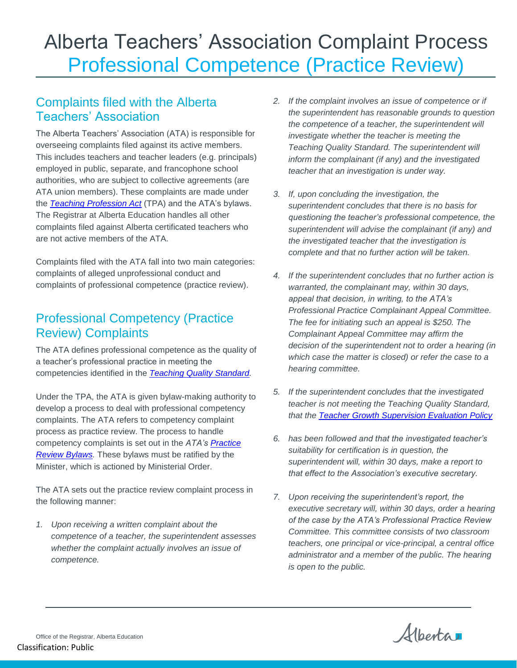# Alberta Teachers' Association Complaint Process Professional Competence (Practice Review)

### Complaints filed with the Alberta Teachers' Association

The Alberta Teachers' Association (ATA) is responsible for overseeing complaints filed against its active members. This includes teachers and teacher leaders (e.g. principals) employed in public, separate, and francophone school authorities, who are subject to collective agreements (are ATA union members). These complaints are made under the *[Teaching Profession Act](https://www.qp.alberta.ca/1266.cfm?page=T02.cfm&leg_type=Acts&isbncln=9780779819263)* (TPA) and the ATA's bylaws. The Registrar at Alberta Education handles all other complaints filed against Alberta certificated teachers who are not active members of the ATA.

Complaints filed with the ATA fall into two main categories: complaints of alleged unprofessional conduct and complaints of professional competence (practice review).

### Professional Competency (Practice Review) Complaints

The ATA defines professional competence as the quality of a teacher's professional practice in meeting the competencies identified in the *[Teaching Quality Standard.](https://open.alberta.ca/dataset/14d92858-fec0-449b-a9ad-52c05000b4de/resource/afc2aa25-ea83-4d23-a105-d1d45af9ffad/download/edc-teaching-quality-standard-english-2020.pdf)*

Under the TPA, the ATA is given bylaw-making authority to develop a process to deal with professional competency complaints. The ATA refers to competency complaint process as practice review. The process to handle competency complaints is set out in the *ATA's [Practice](https://www.teachers.ab.ca/TheTeachingProfession/UpholdingProfessionalStandards/Pages/PracticeReviewBylaws.aspx)  [Review Bylaws.](https://www.teachers.ab.ca/TheTeachingProfession/UpholdingProfessionalStandards/Pages/PracticeReviewBylaws.aspx)* These bylaws must be ratified by the Minister, which is actioned by Ministerial Order.

The ATA sets out the practice review complaint process in the following manner:

*1. Upon receiving a written complaint about the competence of a teacher, the superintendent assesses whether the complaint actually involves an issue of competence.*

- *2. If the complaint involves an issue of competence or if the superintendent has reasonable grounds to question the competence of a teacher, the superintendent will investigate whether the teacher is meeting the Teaching Quality Standard. The superintendent will inform the complainant (if any) and the investigated teacher that an investigation is under way.*
- *3. If, upon concluding the investigation, the superintendent concludes that there is no basis for questioning the teacher's professional competence, the superintendent will advise the complainant (if any) and the investigated teacher that the investigation is complete and that no further action will be taken.*
- *4. If the superintendent concludes that no further action is warranted, the complainant may, within 30 days, appeal that decision, in writing, to the ATA's Professional Practice Complainant Appeal Committee. The fee for initiating such an appeal is \$250. The Complainant Appeal Committee may affirm the decision of the superintendent not to order a hearing (in which case the matter is closed) or refer the case to a hearing committee.*
- *5. If the superintendent concludes that the investigated teacher is not meeting the Teaching Quality Standard, that the [Teacher Growth Supervision Evaluation Policy](https://open.alberta.ca/dataset/92318229-5d7e-400c-95c4-f2fba9a9a5ec/resource/ed049795-c235-4436-8d9c-56e8a5a6aa57/download/2015-teacher-growth-supervision-and-evaluation-policy.pdf)*
- *6. has been followed and that the investigated teacher's suitability for certification is in question, the superintendent will, within 30 days, make a report to that effect to the Association's executive secretary.*
- *7. Upon receiving the superintendent's report, the executive secretary will, within 30 days, order a hearing of the case by the ATA's Professional Practice Review Committee. This committee consists of two classroom teachers, one principal or vice-principal, a central office administrator and a member of the public. The hearing is open to the public.*

Alberta